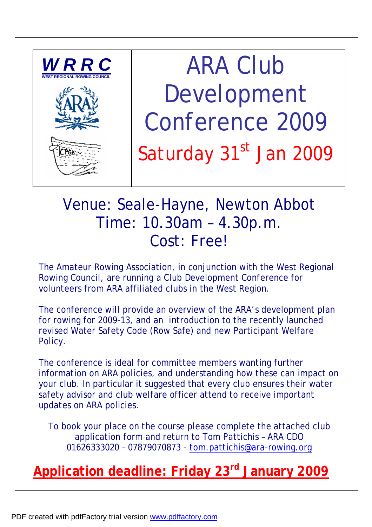

ARA Club Development Conference 2009 Saturday 31st Jan 2009

## Venue: Seale-Hayne, Newton Abbot Time: 10.30am – 4.30p.m. Cost: Free!

The Amateur Rowing Association, in conjunction with the West Regional Rowing Council, are running a Club Development Conference for volunteers from ARA affiliated clubs in the West Region.

The conference will provide an overview of the ARA's development plan for rowing for 2009-13, and an introduction to the recently launched revised Water Safety Code (Row Safe) and new Participant Welfare Policy.

The conference is ideal for committee members wanting further information on ARA policies, and understanding how these can impact on your club. In particular it suggested that every club ensures their water safety advisor and club welfare officer attend to receive important updates on ARA policies.

To book your place on the course please complete the attached club application form and return to Tom Pattichis – ARA CDO 01626333020 – 07879070873 - [tom.pattichis@ara-rowing.org](mailto:tom.pattichis@ara-rowing.org)

## **Application deadline: Friday 23rd January 2009**